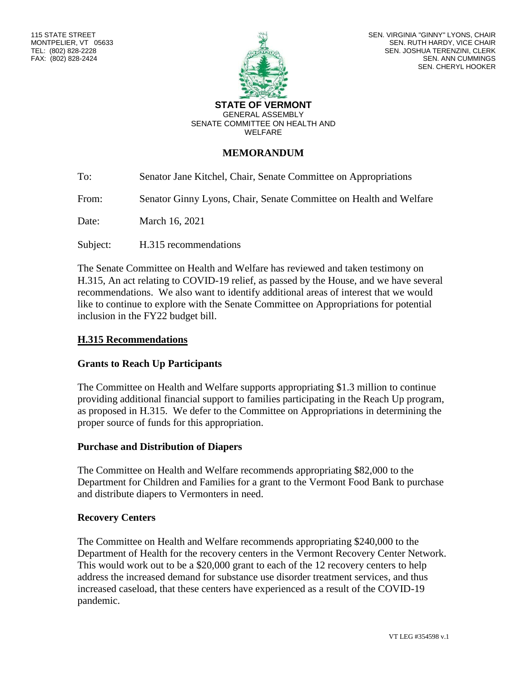

SEN. VIRGINIA "GINNY" LYONS, CHAIR SEN. RUTH HARDY, VICE CHAIR SEN. JOSHUA TERENZINI, CLERK SEN. ANN CUMMINGS SEN. CHERYL HOOKER

#### **STATE OF VERMONT** GENERAL ASSEMBLY SENATE COMMITTEE ON HEALTH AND WELFARE

## **MEMORANDUM**

To: Senator Jane Kitchel, Chair, Senate Committee on Appropriations

From: Senator Ginny Lyons, Chair, Senate Committee on Health and Welfare

Date: March 16, 2021

Subject: H.315 recommendations

The Senate Committee on Health and Welfare has reviewed and taken testimony on H.315, An act relating to COVID-19 relief, as passed by the House, and we have several recommendations. We also want to identify additional areas of interest that we would like to continue to explore with the Senate Committee on Appropriations for potential inclusion in the FY22 budget bill.

### **H.315 Recommendations**

## **Grants to Reach Up Participants**

The Committee on Health and Welfare supports appropriating \$1.3 million to continue providing additional financial support to families participating in the Reach Up program, as proposed in H.315. We defer to the Committee on Appropriations in determining the proper source of funds for this appropriation.

#### **Purchase and Distribution of Diapers**

The Committee on Health and Welfare recommends appropriating \$82,000 to the Department for Children and Families for a grant to the Vermont Food Bank to purchase and distribute diapers to Vermonters in need.

## **Recovery Centers**

The Committee on Health and Welfare recommends appropriating \$240,000 to the Department of Health for the recovery centers in the Vermont Recovery Center Network. This would work out to be a \$20,000 grant to each of the 12 recovery centers to help address the increased demand for substance use disorder treatment services, and thus increased caseload, that these centers have experienced as a result of the COVID-19 pandemic.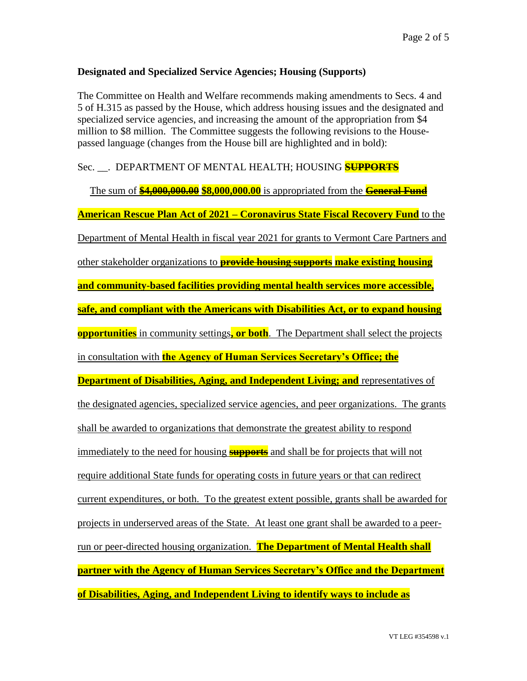## **Designated and Specialized Service Agencies; Housing (Supports)**

The Committee on Health and Welfare recommends making amendments to Secs. 4 and 5 of H.315 as passed by the House, which address housing issues and the designated and specialized service agencies, and increasing the amount of the appropriation from \$4 million to \$8 million. The Committee suggests the following revisions to the Housepassed language (changes from the House bill are highlighted and in bold):

## Sec. \_\_. DEPARTMENT OF MENTAL HEALTH; HOUSING **SUPPORTS**

The sum of **\$4,000,000.00 \$8,000,000.00** is appropriated from the **General Fund American Rescue Plan Act of 2021 – Coronavirus State Fiscal Recovery Fund** to the Department of Mental Health in fiscal year 2021 for grants to Vermont Care Partners and other stakeholder organizations to **provide housing supports make existing housing and community-based facilities providing mental health services more accessible, safe, and compliant with the Americans with Disabilities Act, or to expand housing opportunities** in community settings**, or both**. The Department shall select the projects in consultation with **the Agency of Human Services Secretary's Office; the Department of Disabilities, Aging, and Independent Living; and representatives of** the designated agencies, specialized service agencies, and peer organizations. The grants shall be awarded to organizations that demonstrate the greatest ability to respond immediately to the need for housing **supports** and shall be for projects that will not require additional State funds for operating costs in future years or that can redirect current expenditures, or both. To the greatest extent possible, grants shall be awarded for projects in underserved areas of the State. At least one grant shall be awarded to a peerrun or peer-directed housing organization. **The Department of Mental Health shall partner with the Agency of Human Services Secretary's Office and the Department of Disabilities, Aging, and Independent Living to identify ways to include as**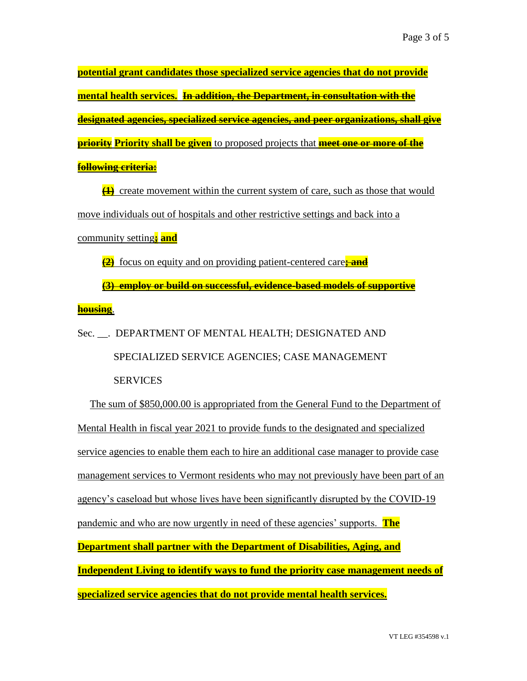**potential grant candidates those specialized service agencies that do not provide mental health services. In addition, the Department, in consultation with the designated agencies, specialized service agencies, and peer organizations, shall give priority Priority shall be given** to proposed projects that **meet one or more of the following criteria:**

**(1)** create movement within the current system of care, such as those that would move individuals out of hospitals and other restrictive settings and back into a community setting**; and**

**(2)** focus on equity and on providing patient-centered care**; and**

**(3) employ or build on successful, evidence-based models of supportive housing**.

Sec. \_\_. DEPARTMENT OF MENTAL HEALTH; DESIGNATED AND SPECIALIZED SERVICE AGENCIES; CASE MANAGEMENT SERVICES

The sum of \$850,000.00 is appropriated from the General Fund to the Department of Mental Health in fiscal year 2021 to provide funds to the designated and specialized service agencies to enable them each to hire an additional case manager to provide case management services to Vermont residents who may not previously have been part of an agency's caseload but whose lives have been significantly disrupted by the COVID-19 pandemic and who are now urgently in need of these agencies' supports. **The Department shall partner with the Department of Disabilities, Aging, and Independent Living to identify ways to fund the priority case management needs of specialized service agencies that do not provide mental health services.**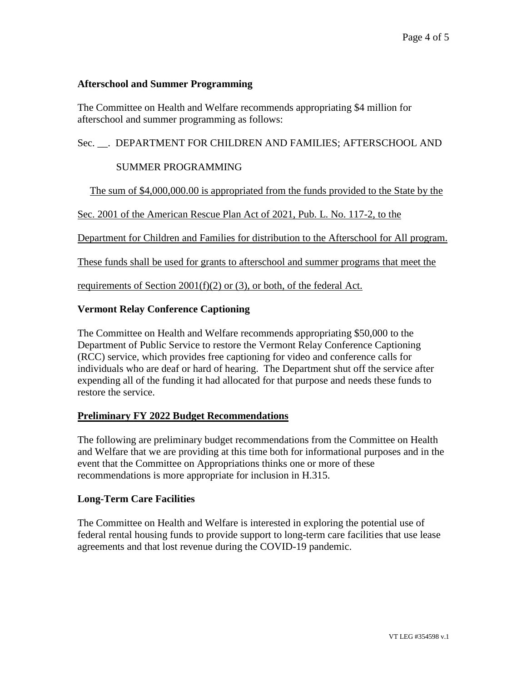## **Afterschool and Summer Programming**

The Committee on Health and Welfare recommends appropriating \$4 million for afterschool and summer programming as follows:

# Sec. \_\_. DEPARTMENT FOR CHILDREN AND FAMILIES; AFTERSCHOOL AND

## SUMMER PROGRAMMING

The sum of \$4,000,000.00 is appropriated from the funds provided to the State by the

Sec. 2001 of the American Rescue Plan Act of 2021, Pub. L. No. 117-2, to the

Department for Children and Families for distribution to the Afterschool for All program.

These funds shall be used for grants to afterschool and summer programs that meet the

requirements of Section 2001(f)(2) or (3), or both, of the federal Act.

## **Vermont Relay Conference Captioning**

The Committee on Health and Welfare recommends appropriating \$50,000 to the Department of Public Service to restore the Vermont Relay Conference Captioning (RCC) service, which provides free captioning for video and conference calls for individuals who are deaf or hard of hearing. The Department shut off the service after expending all of the funding it had allocated for that purpose and needs these funds to restore the service.

## **Preliminary FY 2022 Budget Recommendations**

The following are preliminary budget recommendations from the Committee on Health and Welfare that we are providing at this time both for informational purposes and in the event that the Committee on Appropriations thinks one or more of these recommendations is more appropriate for inclusion in H.315.

## **Long-Term Care Facilities**

The Committee on Health and Welfare is interested in exploring the potential use of federal rental housing funds to provide support to long-term care facilities that use lease agreements and that lost revenue during the COVID-19 pandemic.